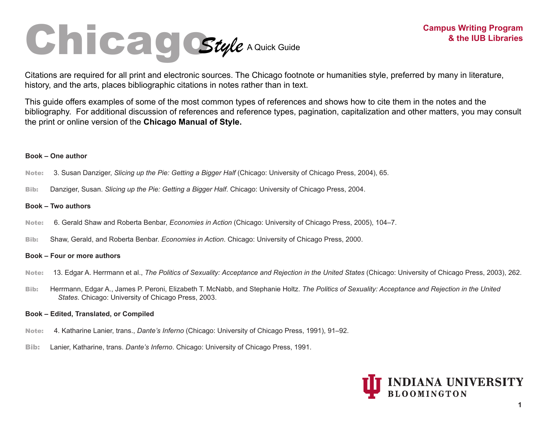# Chicago *Style* A Quick Guide

Citations are required for all print and electronic sources. The Chicago footnote or humanities style, preferred by many in literature, history, and the arts, places bibliographic citations in notes rather than in text.

This guide offers examples of some of the most common types of references and shows how to cite them in the notes and the bibliography. For additional discussion of references and reference types, pagination, capitalization and other matters, you may consult the print or online version of the **Chicago Manual of Style.**

# **Book – One author**

- Note:3. Susan Danziger, *Slicing up the Pie: Getting a Bigger Half* (Chicago: University of Chicago Press, 2004), 65.
- Bib: Danziger, Susan. *Slicing up the Pie: Getting a Bigger Half*. Chicago: University of Chicago Press, 2004.

# **Book – Two authors**

- Note:6. Gerald Shaw and Roberta Benbar, *Economies in Action* (Chicago: University of Chicago Press, 2005), 104–7.
- Bib: Shaw, Gerald, and Roberta Benbar. *Economies in Action*. Chicago: University of Chicago Press, 2000.

# **Book – Four or more authors**

- Note:13. Edgar A. Herrmann et al., *The Politics of Sexuality: Acceptance and Rejection in the United States* (Chicago: University of Chicago Press, 2003), 262.
- Bib: Herrmann, Edgar A., James P. Peroni, Elizabeth T. McNabb, and Stephanie Holtz. *The Politics of Sexuality: Acceptance and Rejection in the United States*. Chicago: University of Chicago Press, 2003.

# **Book – Edited, Translated, or Compiled**

- Note: 4. Katharine Lanier, trans., *Dante's Inferno* (Chicago: University of Chicago Press, 1991), 91–92.
- Bib: Lanier, Katharine, trans. *Dante's Inferno*. Chicago: University of Chicago Press, 1991.

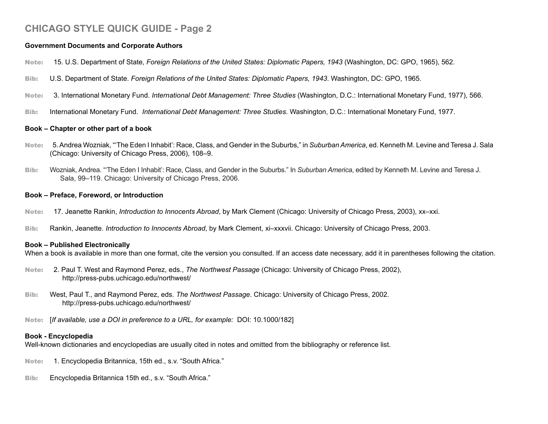## **Government Documents and Corporate Authors**

- Note: 15. U.S. Department of State, *Foreign Relations of the United States: Diplomatic Papers, 1943* (Washington, DC: GPO, 1965), 562.
- Bib: U.S. Department of State. *Foreign Relations of the United States: Diplomatic Papers, 1943*. Washington, DC: GPO, 1965.
- Note: 3. International Monetary Fund. *International Debt Management: Three Studies* (Washington, D.C.: International Monetary Fund, 1977), 566.
- Bib: International Monetary Fund. *International Debt Management: Three Studies*. Washington, D.C.: International Monetary Fund, 1977.

# **Book – Chapter or other part of a book**

- Note: 5. Andrea Wozniak, "'The Eden I Inhabit': Race, Class, and Gender in the Suburbs," in *Suburban America*, ed. Kenneth M. Levine and Teresa J. Sala (Chicago: University of Chicago Press, 2006), 108–9.
- Bib: Wozniak, Andrea. "'The Eden I Inhabit': Race, Class, and Gender in the Suburbs." In *Suburban America*, edited by Kenneth M. Levine and Teresa J. Sala, 99–119. Chicago: University of Chicago Press, 2006.

## **Book – Preface, Foreword, or Introduction**

- Note: 17. Jeanette Rankin, *Introduction to Innocents Abroad*, by Mark Clement (Chicago: University of Chicago Press, 2003), xx–xxi.
- Bib: Rankin, Jeanette. *Introduction to Innocents Abroad*, by Mark Clement, xi–xxxvii. Chicago: University of Chicago Press, 2003.

# **Book – Published Electronically**

When a book is available in more than one format, cite the version you consulted. If an access date necessary, add it in parentheses following the citation.

- Note: 2. Paul T. West and Raymond Perez, eds., *The Northwest Passage* (Chicago: University of Chicago Press, 2002), http://press-pubs.uchicago.edu/northwest/
- Bib: West, Paul T., and Raymond Perez, eds. *The Northwest Passage*. Chicago: University of Chicago Press, 2002. http://press-pubs.uchicago.edu/northwest/
- Note: [*If available, use a DOI in preference to a URL, for example:* DOI: 10.1000/182]

# **Book - Encyclopedia**

Well-known dictionaries and encyclopedias are usually cited in notes and omitted from the bibliography or reference list.

- Note: 1. Encyclopedia Britannica, 15th ed., s.v. "South Africa."
- Bib: Encyclopedia Britannica 15th ed., s.v. "South Africa."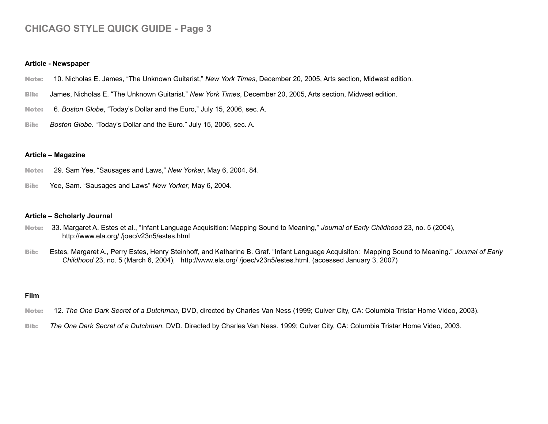#### **Article - Newspaper**

- Note: 10. Nicholas E. James, "The Unknown Guitarist," *New York Times*, December 20, 2005, Arts section, Midwest edition.
- Bib: James, Nicholas E. "The Unknown Guitarist." *New York Times*, December 20, 2005, Arts section, Midwest edition.
- Note: 6. *Boston Globe*, "Today's Dollar and the Euro," July 15, 2006, sec. A.
- Bib: *Boston Globe*. "Today's Dollar and the Euro." July 15, 2006, sec. A.

#### **Article – Magazine**

- Note: 29. Sam Yee, "Sausages and Laws," *New Yorker*, May 6, 2004, 84.
- Bib: Yee, Sam. "Sausages and Laws" *New Yorker*, May 6, 2004.

#### **Article – Scholarly Journal**

- Note: 33. Margaret A. Estes et al., "Infant Language Acquisition: Mapping Sound to Meaning," *Journal of Early Childhood* 23, no. 5 (2004), http://www.ela.org/ /joec/v23n5/estes.html
- Bib: Estes, Margaret A., Perry Estes, Henry Steinhoff, and Katharine B. Graf. "Infant Language Acquisiton: Mapping Sound to Meaning." *Journal of Early Childhood* 23, no. 5 (March 6, 2004), http://www.ela.org/ /joec/v23n5/estes.html. (accessed January 3, 2007)

#### **Film**

- Note: 12. *The One Dark Secret of a Dutchman*, DVD, directed by Charles Van Ness (1999; Culver City, CA: Columbia Tristar Home Video, 2003).
- Bib: *The One Dark Secret of a Dutchman*. DVD. Directed by Charles Van Ness. 1999; Culver City, CA: Columbia Tristar Home Video, 2003.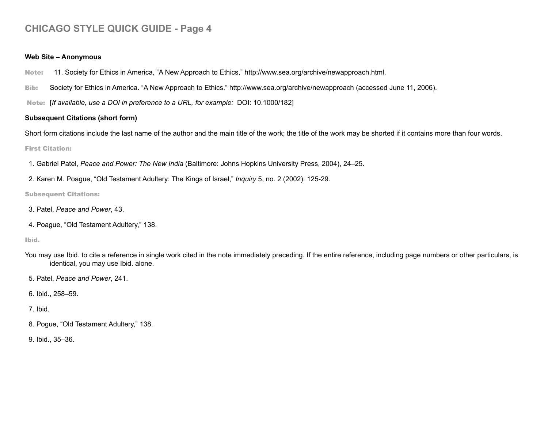#### **Web Site – Anonymous**

Note: 11. Society for Ethics in America, "A New Approach to Ethics," http://www.sea.org/archive/newapproach.html.

Bib: Society for Ethics in America. "A New Approach to Ethics." http://www.sea.org/archive/newapproach (accessed June 11, 2006).

Note: [*If available, use a DOI in preference to a URL, for example:* DOI: 10.1000/182]

# **Subsequent Citations (short form)**

Short form citations include the last name of the author and the main title of the work; the title of the work may be shorted if it contains more than four words.

#### First Citation:

1. Gabriel Patel, *Peace and Power: The New India* (Baltimore: Johns Hopkins University Press, 2004), 24–25.

2. Karen M. Poague, "Old Testament Adultery: The Kings of Israel," *Inquiry* 5, no. 2 (2002): 125-29.

Subsequent Citations:

- 3. Patel, *Peace and Power*, 43.
- 4. Poague, "Old Testament Adultery," 138.

#### Ibid.

You may use Ibid. to cite a reference in single work cited in the note immediately preceding. If the entire reference, including page numbers or other particulars, is identical, you may use Ibid. alone.

5. Patel, *Peace and Power*, 241.

6. Ibid., 258–59.

# 7. Ibid.

8. Pogue, "Old Testament Adultery," 138.

9. Ibid., 35–36.